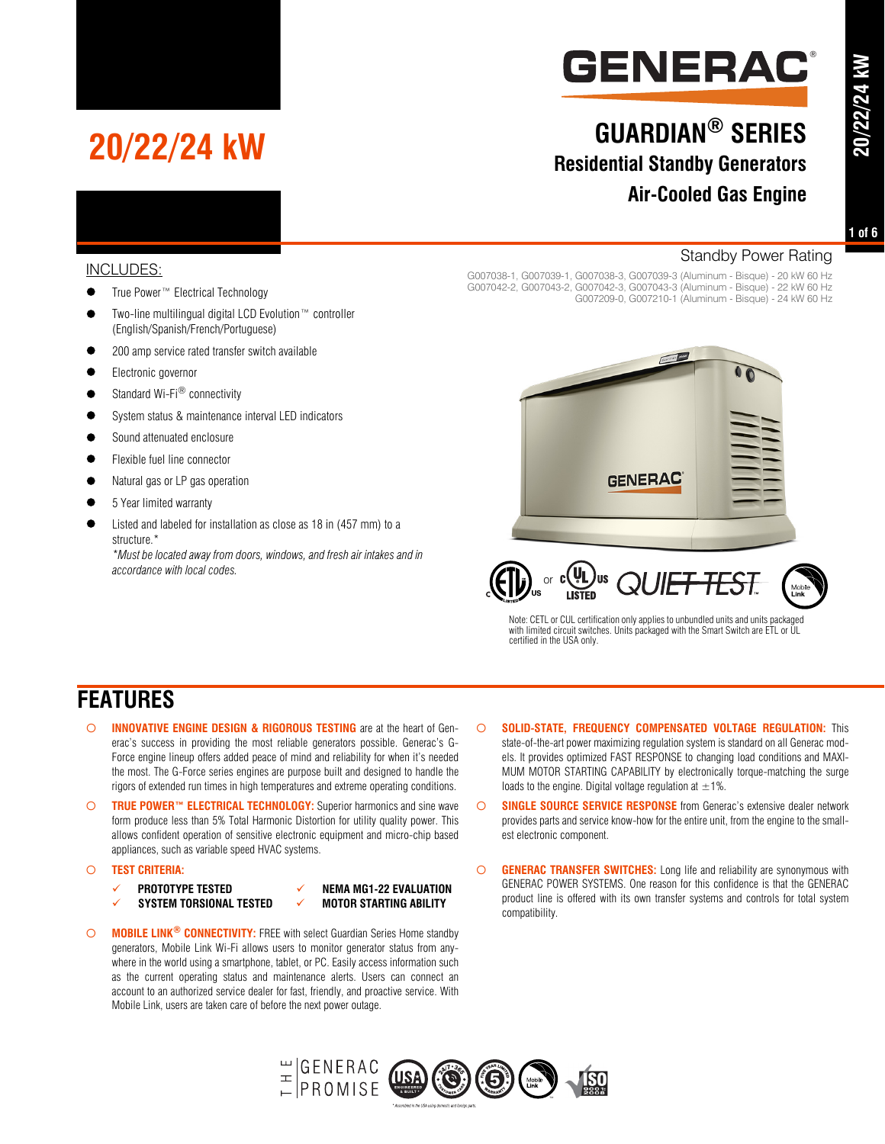

# **GUARDIAN® SERIES Residential Standby Generators Air-Cooled Gas Engine**

**20/22/24 kW**

20/22/24 kW

### INCLUDES:

True Power™ Electrical Technology

**20/22/24 kW**

- Two-line multilingual digital LCD Evolution™ controller (English/Spanish/French/Portuguese)
- 200 amp service rated transfer switch available
- **Electronic governor**
- $\bullet$  Standard Wi-Fi® connectivity
- System status & maintenance interval LED indicators
- Sound attenuated enclosure
- Flexible fuel line connector
- Natural gas or LP gas operation
- 5 Year limited warranty
- Listed and labeled for installation as close as 18 in (457 mm) to a structure.\*

*\*Must be located away from doors, windows, and fresh air intakes and in accordance with local codes.*

#### Standby Power Rating

G007038-1, G007039-1, G007038-3, G007039-3 (Aluminum - Bisque) - 20 kW 60 Hz G007042-2, G007043-2, G007042-3, G007043-3 (Aluminum - Bisque) - 22 kW 60 Hz G007209-0, G007210-1 (Aluminum - Bisque) - 24 kW 60 Hz





Note: CETL or CUL certification only applies to unbundled units and units packaged with limited circuit switches. Units packaged with the Smart Switch are ETL or UL certified in the USA only.

### **FEATURES**

- **INNOVATIVE ENGINE DESIGN & RIGOROUS TESTING** are at the heart of Generac's success in providing the most reliable generators possible. Generac's G-Force engine lineup offers added peace of mind and reliability for when it's needed the most. The G-Force series engines are purpose built and designed to handle the rigors of extended run times in high temperatures and extreme operating conditions.
- **TRUE POWER™ ELECTRICAL TECHNOLOGY:** Superior harmonics and sine wave form produce less than 5% Total Harmonic Distortion for utility quality power. This allows confident operation of sensitive electronic equipment and micro-chip based appliances, such as variable speed HVAC systems.
- **TEST CRITERIA:**
	-
	- SYSTEM TORSIONAL TESTED  $\checkmark$  motor starting ability
- **PROTOTYPE TESTED**  $\checkmark$  **NEMA MG1-22 EVALUATION**
- **MOBILE LINK® CONNECTIVITY:** FREE with select Guardian Series Home standby generators, Mobile Link Wi-Fi allows users to monitor generator status from anywhere in the world using a smartphone, tablet, or PC. Easily access information such as the current operating status and maintenance alerts. Users can connect an account to an authorized service dealer for fast, friendly, and proactive service. With Mobile Link, users are taken care of before the next power outage.
- **SOLID-STATE, FREQUENCY COMPENSATED VOLTAGE REGULATION:** This state-of-the-art power maximizing regulation system is standard on all Generac models. It provides optimized FAST RESPONSE to changing load conditions and MAXI-MUM MOTOR STARTING CAPABILITY by electronically torque-matching the surge loads to the engine. Digital voltage regulation at  $\pm 1\%$ .
- **SINGLE SOURCE SERVICE RESPONSE** from Generac's extensive dealer network provides parts and service know-how for the entire unit, from the engine to the smallest electronic component.
- **GENERAC TRANSFER SWITCHES:** Long life and reliability are synonymous with GENERAC POWER SYSTEMS. One reason for this confidence is that the GENERAC product line is offered with its own transfer systems and controls for total system compatibility.

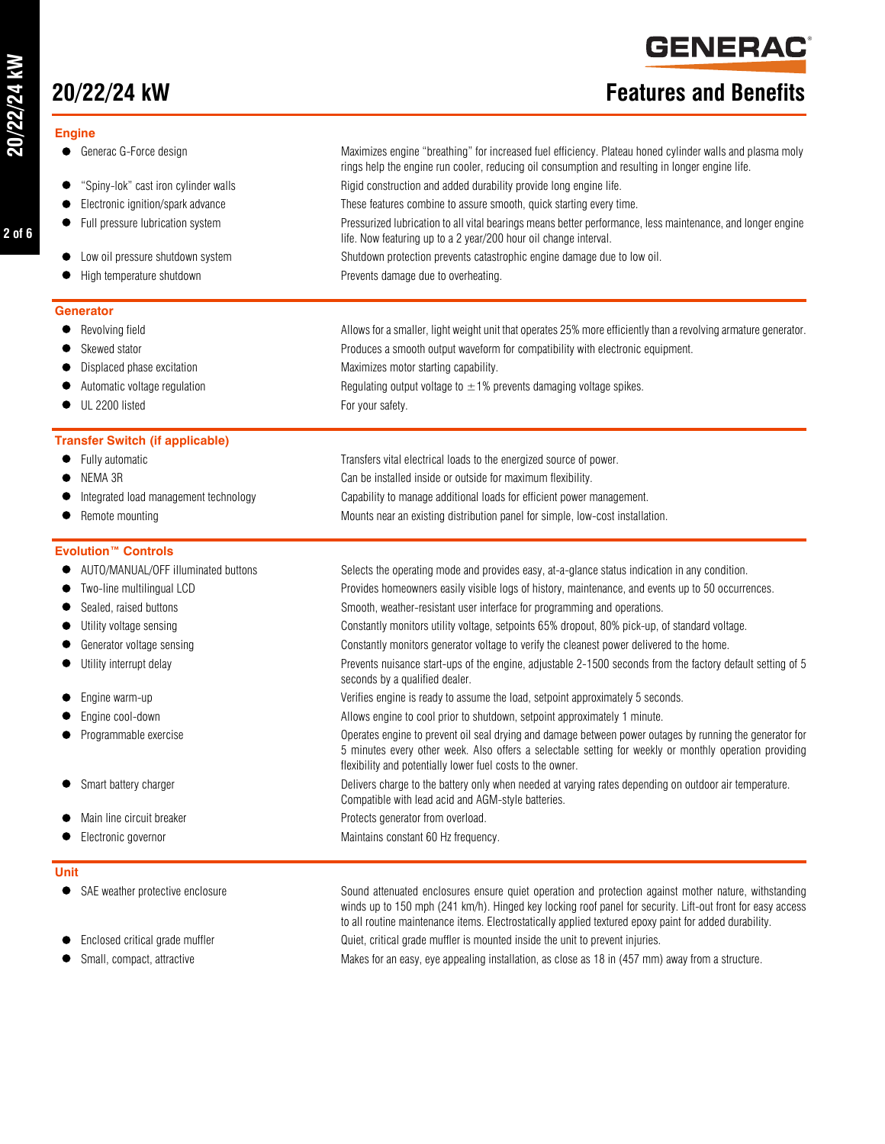**2 of 6**

### **Engine**

- Generac G-Force design Maximizes engine "breathing" for increased fuel efficiency. Plateau honed cylinder walls and plasma moly
- "Spiny-lok" cast iron cylinder walls
- **Electronic ignition/spark advance**
- Full pressure lubrication system
- $\bullet$  Low oil pressure shutdown system
- $\bullet$  High temperature shutdown

#### **Generator**

- $\bullet$  Revolving field
- 
- $\bullet$  Displaced phase excitation
- Automatic voltage regulation
- UL 2200 listed For your safety.

### **Transfer Switch (if applicable)**

- 
- 
- 
- 

#### **Evolution™ Controls**

- 
- 
- 
- 
- 
- 
- 
- 
- 
- 
- 
- 

#### **Unit**

- 
- 
- 

## **20/22/24 kW Features and Benefits**

**GENERA(** 

®

|                                        | rings help the engine run cooler, reducing oil consumption and resulting in longer engine life.                                                                                 |
|----------------------------------------|---------------------------------------------------------------------------------------------------------------------------------------------------------------------------------|
| • "Spiny-lok" cast iron cylinder walls | Rigid construction and added durability provide long engine life.                                                                                                               |
| • Electronic ignition/spark advance    | These features combine to assure smooth, quick starting every time.                                                                                                             |
| • Full pressure lubrication system     | Pressurized lubrication to all vital bearings means better performance, less maintenance, and longer engine<br>life. Now featuring up to a 2 year/200 hour oil change interval. |
| • Low oil pressure shutdown system     | Shutdown protection prevents catastrophic engine damage due to low oil.                                                                                                         |
| ● High temperature shutdown            | Prevents damage due to overheating.                                                                                                                                             |
| ìenerator                              |                                                                                                                                                                                 |
| • Revolving field                      | Allows for a smaller, light weight unit that operates 25% more efficiently than a revolving armature generator                                                                  |
| • Skewed stator                        | Produces a smooth output waveform for compatibility with electronic equipment.                                                                                                  |
| • Displaced phase excitation           | Maximizes motor starting capability.                                                                                                                                            |
| • Automatic voltage regulation         | Regulating output voltage to $\pm$ 1% prevents damaging voltage spikes.                                                                                                         |
|                                        |                                                                                                                                                                                 |

Fully automatic Transfers vital electrical loads to the energized source of power.

- NEMA 3R Can be installed inside or outside for maximum flexibility.
	- Integrated load management technology Capability to manage additional loads for efficient power management.
	- Remote mounting more monotonical movement of the Mounts near an existing distribution panel for simple, low-cost installation.

AUTO/MANUAL/OFF illuminated buttons Selects the operating mode and provides easy, at-a-glance status indication in any condition.

- Two-line multilingual LCD entitled as the Provides homeowners easily visible logs of history, maintenance, and events up to 50 occurrences.
- Sealed, raised buttons states and the Smooth, weather-resistant user interface for programming and operations.
- Utility voltage sensing Constantly monitors utility voltage, setpoints 65% dropout, 80% pick-up, of standard voltage.
	- Generator voltage sensing example and the home. Constantly monitors generator voltage to verify the cleanest power delivered to the home.
	- Utility interrupt delay entirely and the Prevents nuisance start-ups of the engine, adjustable 2-1500 seconds from the factory default setting of 5 seconds by a qualified dealer.
- Engine warm-up Verifies engine is ready to assume the load, setpoint approximately 5 seconds.
	- Engine cool-down Allows engine to cool prior to shutdown, setpoint approximately 1 minute.
	- Programmable exercise Operates engine to prevent oil seal drying and damage between power outages by running the generator for 5 minutes every other week. Also offers a selectable setting for weekly or monthly operation providing flexibility and potentially lower fuel costs to the owner.
	- Smart battery charger **Delivers** charge to the battery only when needed at varying rates depending on outdoor air temperature. Compatible with lead acid and AGM-style batteries.
- Main line circuit breaker exercise to the Protects generator from overload.
- Electronic governor example and the Maintains constant 60 Hz frequency.

 SAE weather protective enclosure Sound attenuated enclosures ensure quiet operation and protection against mother nature, withstanding winds up to 150 mph (241 km/h). Hinged key locking roof panel for security. Lift-out front for easy access to all routine maintenance items. Electrostatically applied textured epoxy paint for added durability. Enclosed critical grade muffler Quiet, critical grade muffler is mounted inside the unit to prevent injuries.

Small, compact, attractive example of the Makes for an easy, eye appealing installation, as close as 18 in (457 mm) away from a structure.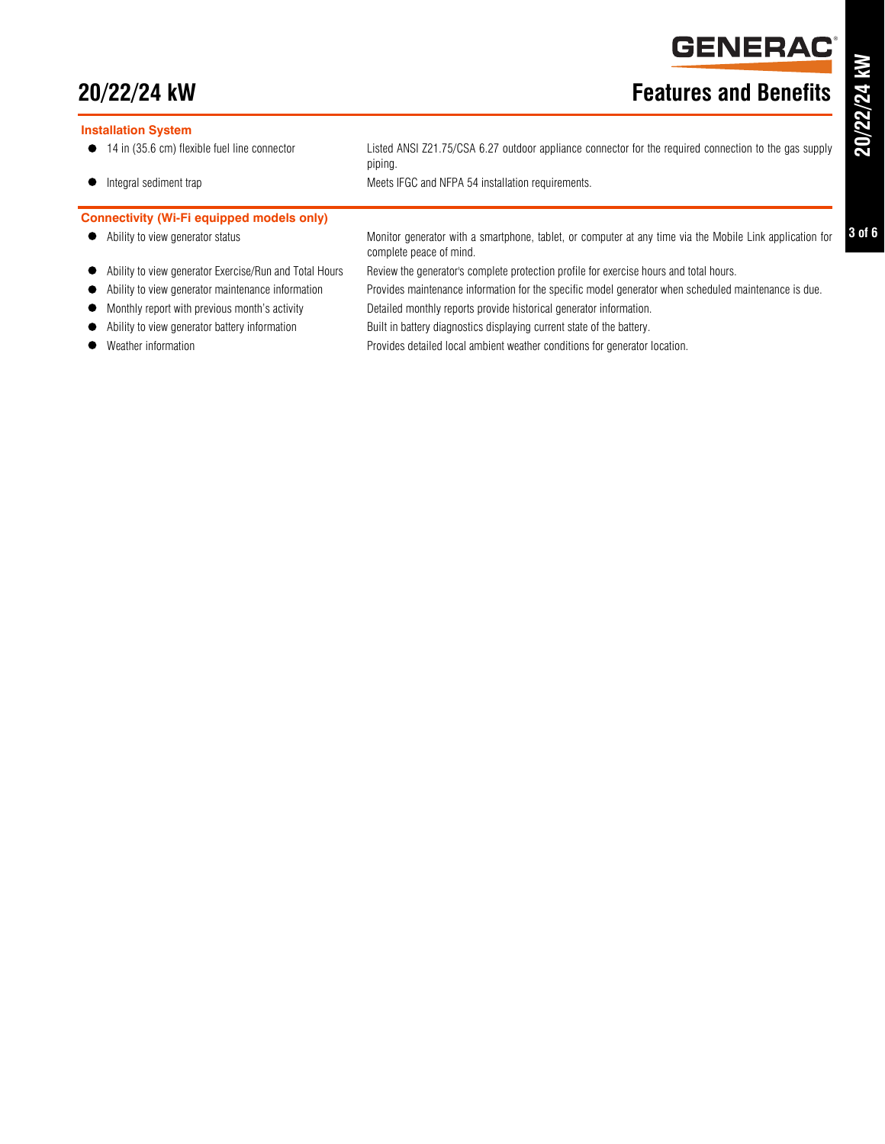# **GENERAD**

## **20/22/24 kW Features and Benefits**

#### **Installation System**

- 
- 

#### **Connectivity (Wi-Fi equipped models only)**

- 
- 
- 
- Monthly report with previous month's activity Detailed monthly reports provide historical generator information.
- Ability to view generator battery information Built in battery diagnostics displaying current state of the battery.
- 

● 14 in (35.6 cm) flexible fuel line connector Listed ANSI Z21.75/CSA 6.27 outdoor appliance connector for the required connection to the gas supply piping.

- Integral sediment trap <br>
Meets IFGC and NFPA 54 installation requirements.
- Ability to view generator status Monitor generator with a smartphone, tablet, or computer at any time via the Mobile Link application for complete peace of mind.
- Ability to view generator Exercise/Run and Total Hours Review the generator's complete protection profile for exercise hours and total hours.
- Ability to view generator maintenance information Provides maintenance information for the specific model generator when scheduled maintenance is due.
	- -
- Weather information Provides detailed local ambient weather conditions for generator location.

®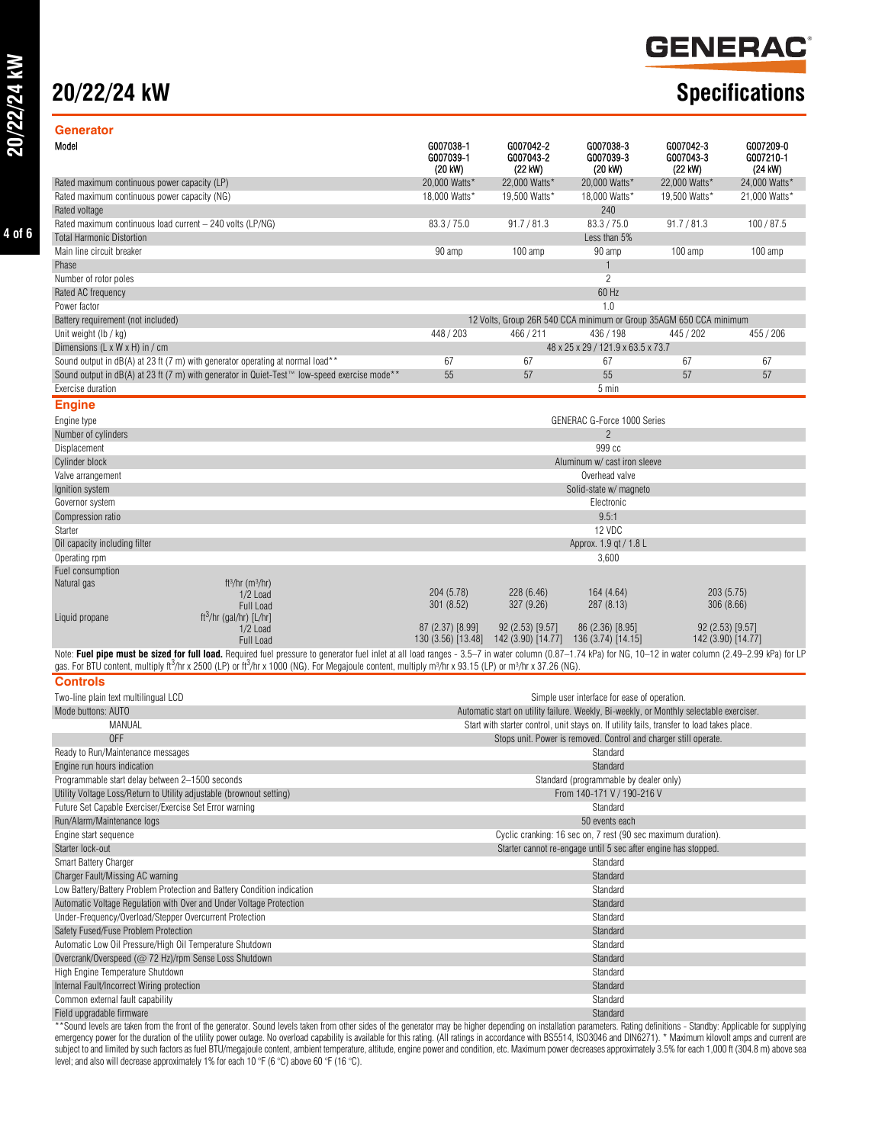# **20/22/24 kW Specifications**

# **GENERAC**

| Generator                                                                                                                                                                                                   |                                   |                                                                                            |                                                                                                                                                                                                                                       |                                   |                                   |
|-------------------------------------------------------------------------------------------------------------------------------------------------------------------------------------------------------------|-----------------------------------|--------------------------------------------------------------------------------------------|---------------------------------------------------------------------------------------------------------------------------------------------------------------------------------------------------------------------------------------|-----------------------------------|-----------------------------------|
| Model                                                                                                                                                                                                       | G007038-1<br>G007039-1<br>(20 kW) | G007042-2<br>G007043-2<br>(22 kW)                                                          | G007038-3<br>G007039-3<br>(20 kW)                                                                                                                                                                                                     | G007042-3<br>G007043-3<br>(22 kW) | G007209-0<br>G007210-1<br>(24 kW) |
| Rated maximum continuous power capacity (LP)                                                                                                                                                                | 20,000 Watts*                     | 22,000 Watts*                                                                              | 20,000 Watts*                                                                                                                                                                                                                         | 22,000 Watts*                     | 24,000 Watts*                     |
| Rated maximum continuous power capacity (NG)                                                                                                                                                                | 18,000 Watts*                     | 19.500 Watts*                                                                              | 18,000 Watts*                                                                                                                                                                                                                         | 19.500 Watts*                     | 21,000 Watts*                     |
| Rated voltage                                                                                                                                                                                               |                                   |                                                                                            | 240                                                                                                                                                                                                                                   |                                   |                                   |
| Rated maximum continuous load current - 240 volts (LP/NG)                                                                                                                                                   | 83.3 / 75.0                       | 91.7 / 81.3                                                                                | 83.3 / 75.0                                                                                                                                                                                                                           | 91.7 / 81.3                       | 100/87.5                          |
| <b>Total Harmonic Distortion</b>                                                                                                                                                                            |                                   |                                                                                            | Less than 5%                                                                                                                                                                                                                          |                                   |                                   |
| Main line circuit breaker                                                                                                                                                                                   | 90 amp                            | 100 amp                                                                                    | 90 amp                                                                                                                                                                                                                                | 100 amp                           | 100 amp                           |
| Phase                                                                                                                                                                                                       |                                   |                                                                                            | $\mathbf{1}$                                                                                                                                                                                                                          |                                   |                                   |
| Number of rotor poles                                                                                                                                                                                       |                                   |                                                                                            | $\overline{c}$                                                                                                                                                                                                                        |                                   |                                   |
| Rated AC frequency                                                                                                                                                                                          |                                   |                                                                                            | 60 Hz                                                                                                                                                                                                                                 |                                   |                                   |
| Power factor                                                                                                                                                                                                |                                   |                                                                                            | 1.0                                                                                                                                                                                                                                   |                                   |                                   |
| Battery requirement (not included)                                                                                                                                                                          |                                   | 12 Volts, Group 26R 540 CCA minimum or Group 35AGM 650 CCA minimum                         |                                                                                                                                                                                                                                       |                                   |                                   |
| Unit weight (lb / kg)                                                                                                                                                                                       | 448 / 203                         | 466 / 211                                                                                  | 436 / 198                                                                                                                                                                                                                             | 445 / 202                         | 455 / 206                         |
| Dimensions (L x W x H) in / cm                                                                                                                                                                              |                                   |                                                                                            | 48 x 25 x 29 / 121.9 x 63.5 x 73.7                                                                                                                                                                                                    |                                   |                                   |
| Sound output in dB(A) at 23 ft (7 m) with generator operating at normal load**                                                                                                                              | 67                                | 67                                                                                         | 67                                                                                                                                                                                                                                    | 67                                | 67                                |
| Sound output in dB(A) at 23 ft (7 m) with generator in Quiet-Test™ low-speed exercise mode**                                                                                                                | 55                                | 57                                                                                         | 55                                                                                                                                                                                                                                    | 57                                | 57                                |
| Exercise duration                                                                                                                                                                                           |                                   |                                                                                            | 5 min                                                                                                                                                                                                                                 |                                   |                                   |
| <b>Engine</b>                                                                                                                                                                                               |                                   |                                                                                            |                                                                                                                                                                                                                                       |                                   |                                   |
| Engine type                                                                                                                                                                                                 |                                   |                                                                                            | <b>GENERAC G-Force 1000 Series</b>                                                                                                                                                                                                    |                                   |                                   |
| Number of cylinders                                                                                                                                                                                         |                                   |                                                                                            | $\overline{2}$                                                                                                                                                                                                                        |                                   |                                   |
| Displacement                                                                                                                                                                                                |                                   |                                                                                            | 999 cc                                                                                                                                                                                                                                |                                   |                                   |
| Cylinder block                                                                                                                                                                                              |                                   |                                                                                            | Aluminum w/ cast iron sleeve                                                                                                                                                                                                          |                                   |                                   |
| Valve arrangement                                                                                                                                                                                           |                                   |                                                                                            | Overhead valve                                                                                                                                                                                                                        |                                   |                                   |
| Ignition system                                                                                                                                                                                             |                                   |                                                                                            | Solid-state w/ magneto                                                                                                                                                                                                                |                                   |                                   |
| Governor system                                                                                                                                                                                             |                                   |                                                                                            | Electronic                                                                                                                                                                                                                            |                                   |                                   |
| Compression ratio                                                                                                                                                                                           |                                   |                                                                                            | 9.5:1                                                                                                                                                                                                                                 |                                   |                                   |
| Starter                                                                                                                                                                                                     |                                   |                                                                                            | 12 VDC                                                                                                                                                                                                                                |                                   |                                   |
| Oil capacity including filter                                                                                                                                                                               |                                   |                                                                                            | Approx. 1.9 gt / 1.8 L                                                                                                                                                                                                                |                                   |                                   |
| Operating rpm                                                                                                                                                                                               |                                   |                                                                                            | 3,600                                                                                                                                                                                                                                 |                                   |                                   |
| Fuel consumption                                                                                                                                                                                            |                                   |                                                                                            |                                                                                                                                                                                                                                       |                                   |                                   |
| Natural gas<br>ft <sup>3</sup> /hr (m <sup>3</sup> /hr)                                                                                                                                                     |                                   |                                                                                            |                                                                                                                                                                                                                                       |                                   |                                   |
| 1/2 Load                                                                                                                                                                                                    | 204 (5.78)                        | 228 (6.46)                                                                                 | 164 (4.64)                                                                                                                                                                                                                            |                                   | 203(5.75)                         |
| <b>Full Load</b>                                                                                                                                                                                            | 301 (8.52)                        | 327 (9.26)                                                                                 | 287 (8.13)                                                                                                                                                                                                                            |                                   | 306(8.66)                         |
| ft <sup>3</sup> /hr (gal/hr) [L/hr]<br>Liquid propane                                                                                                                                                       | 87 (2.37) [8.99]                  | $92(2.53)$ [9.57]                                                                          | 86 (2.36) [8.95]                                                                                                                                                                                                                      |                                   | 92 (2.53) [9.57]                  |
| 1/2 Load<br>Full Load                                                                                                                                                                                       |                                   | 130 (3.56) [13.48] 142 (3.90) [14.77] 136 (3.74) [14.15]                                   |                                                                                                                                                                                                                                       |                                   | 142 (3.90) [14.77]                |
| Note: Fuel pipe must be sized for full load. Required fuel pressure to generator fuel inlet at all load ranges - 3.5-7 in water column (0.87-1.74 kPa) for NG, 10-12 in water column (2.49-2.99 kPa) for LP |                                   |                                                                                            |                                                                                                                                                                                                                                       |                                   |                                   |
| gas. For BTU content, multiply ft <sup>3</sup> /hr x 2500 (LP) or ft <sup>3</sup> /hr x 1000 (NG). For Megajoule content, multiply m <sup>3</sup> /hr x 93.15 (LP) or m <sup>3</sup> /hr x 37.26 (NG).      |                                   |                                                                                            |                                                                                                                                                                                                                                       |                                   |                                   |
| <b>Controls</b>                                                                                                                                                                                             |                                   |                                                                                            |                                                                                                                                                                                                                                       |                                   |                                   |
| Two-line plain text multilingual LCD                                                                                                                                                                        |                                   |                                                                                            | Simple user interface for ease of operation.                                                                                                                                                                                          |                                   |                                   |
| Mode buttons: AUTO                                                                                                                                                                                          |                                   | Automatic start on utility failure. Weekly, Bi-weekly, or Monthly selectable exerciser.    |                                                                                                                                                                                                                                       |                                   |                                   |
| MANUAL                                                                                                                                                                                                      |                                   | Start with starter control, unit stays on. If utility fails, transfer to load takes place. |                                                                                                                                                                                                                                       |                                   |                                   |
| 0FF                                                                                                                                                                                                         |                                   |                                                                                            | Stops unit. Power is removed. Control and charger still operate.                                                                                                                                                                      |                                   |                                   |
| Ready to Run/Maintenance messages                                                                                                                                                                           |                                   |                                                                                            | Standard                                                                                                                                                                                                                              |                                   |                                   |
| Engine run hours indication                                                                                                                                                                                 |                                   |                                                                                            | Standard                                                                                                                                                                                                                              |                                   |                                   |
| Programmable start delay between 2-1500 seconds                                                                                                                                                             |                                   |                                                                                            | Standard (programmable by dealer only)                                                                                                                                                                                                |                                   |                                   |
| Utility Voltage Loss/Return to Utility adjustable (brownout setting)                                                                                                                                        |                                   |                                                                                            | From 140-171 V / 190-216 V                                                                                                                                                                                                            |                                   |                                   |
| Future Set Capable Exerciser/Exercise Set Error warning                                                                                                                                                     |                                   |                                                                                            | Standard                                                                                                                                                                                                                              |                                   |                                   |
| Run/Alarm/Maintenance logs                                                                                                                                                                                  |                                   |                                                                                            | 50 events each                                                                                                                                                                                                                        |                                   |                                   |
| Engine start sequence                                                                                                                                                                                       |                                   |                                                                                            | Cyclic cranking: 16 sec on, 7 rest (90 sec maximum duration).                                                                                                                                                                         |                                   |                                   |
| Starter lock-out                                                                                                                                                                                            |                                   |                                                                                            | Starter cannot re-engage until 5 sec after engine has stopped.                                                                                                                                                                        |                                   |                                   |
| Smart Battery Charger                                                                                                                                                                                       |                                   |                                                                                            | Standard                                                                                                                                                                                                                              |                                   |                                   |
| Charger Fault/Missing AC warning                                                                                                                                                                            |                                   |                                                                                            | Standard                                                                                                                                                                                                                              |                                   |                                   |
| Low Battery/Battery Problem Protection and Battery Condition indication                                                                                                                                     |                                   |                                                                                            | Standard                                                                                                                                                                                                                              |                                   |                                   |
| Automatic Voltage Regulation with Over and Under Voltage Protection                                                                                                                                         |                                   |                                                                                            | Standard                                                                                                                                                                                                                              |                                   |                                   |
| Under-Frequency/Overload/Stepper Overcurrent Protection                                                                                                                                                     |                                   |                                                                                            | Standard                                                                                                                                                                                                                              |                                   |                                   |
|                                                                                                                                                                                                             |                                   |                                                                                            |                                                                                                                                                                                                                                       |                                   |                                   |
| Safety Fused/Fuse Problem Protection                                                                                                                                                                        |                                   |                                                                                            | Standard<br>Standard                                                                                                                                                                                                                  |                                   |                                   |
| Automatic Low Oil Pressure/High Oil Temperature Shutdown<br>Overcrank/Overspeed (@ 72 Hz)/rpm Sense Loss Shutdown                                                                                           |                                   |                                                                                            |                                                                                                                                                                                                                                       |                                   |                                   |
|                                                                                                                                                                                                             |                                   |                                                                                            | Standard                                                                                                                                                                                                                              |                                   |                                   |
| High Engine Temperature Shutdown                                                                                                                                                                            |                                   |                                                                                            | Standard                                                                                                                                                                                                                              |                                   |                                   |
| Internal Fault/Incorrect Wiring protection                                                                                                                                                                  |                                   |                                                                                            | Standard                                                                                                                                                                                                                              |                                   |                                   |
| Common external fault capability<br>Field upgradable firmware                                                                                                                                               |                                   |                                                                                            | Standard                                                                                                                                                                                                                              |                                   |                                   |
|                                                                                                                                                                                                             |                                   |                                                                                            | Standard<br>**Sound levels are taken from the front of the generator. Sound levels taken from other sides of the generator may be higher depending on installation parameters. Bating definitions - Standby: Annlicable for supplying |                                   |                                   |

\*\*Sound levels are taken from the front of the generator. Sound levels taken from other sides of the generator may be higher depending on installation parameters. Rating definitions - Standby: Applicable for supplying emergency power for the duration of the utility power outage. No overload capability is available for this rating. (All ratings in accordance with BS5514, ISO3046 and DIN6271). \* Maximum kilovolt amps and current are<br>subj

**4 of 6**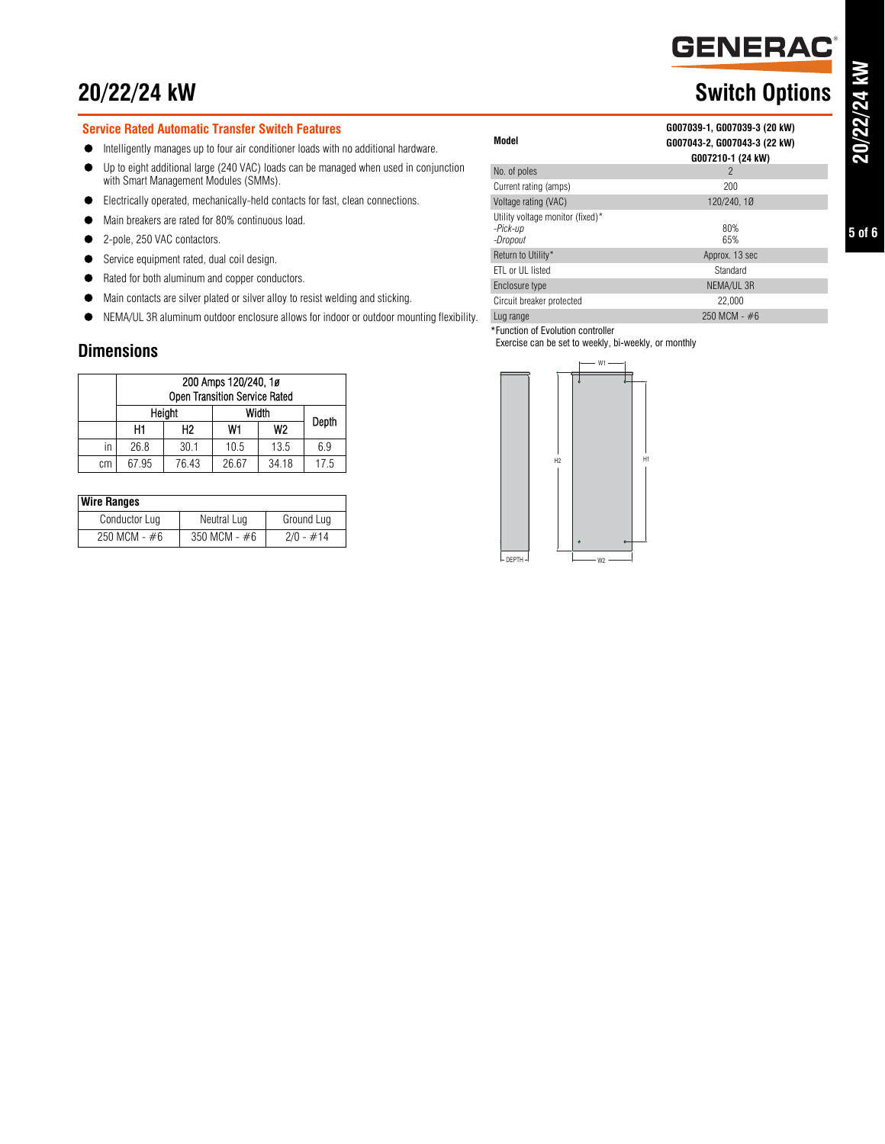## **20/22/24 kW** Switch Options

#### **Service Rated Automatic Transfer Switch Features**

- Intelligently manages up to four air conditioner loads with no additional hardware.
- Up to eight additional large (240 VAC) loads can be managed when used in conjunction with Smart Management Modules (SMMs).
- Electrically operated, mechanically-held contacts for fast, clean connections.
- $\bullet$  Main breakers are rated for 80% continuous load.
- 2-pole, 250 VAC contactors.
- Service equipment rated, dual coil design.
- Rated for both aluminum and copper conductors.
- Main contacts are silver plated or silver alloy to resist welding and sticking.
- NEMA/UL 3R aluminum outdoor enclosure allows for indoor or outdoor mounting flexibility.

### **Dimensions**

|    | 200 Amps 120/240, 1ø<br><b>Open Transition Service Rated</b> |       |       |                |      |
|----|--------------------------------------------------------------|-------|-------|----------------|------|
|    | Height                                                       |       | Width | Depth          |      |
|    | H1                                                           | Н2    | W1    | W <sub>2</sub> |      |
| in | 26.8                                                         | 30.1  | 10.5  | 13.5           | 6.9  |
| сm | 67.95                                                        | 76.43 | 26.67 | 34.18          | 17.5 |

| <b>Wire Ranges</b> |                |             |
|--------------------|----------------|-------------|
| Conductor Lug      | Neutral Lug    | Ground Lug  |
| $250$ MCM - $#6$   | 350 MCM - $#6$ | $2/0 - #14$ |

#### **Model G007039-1, G007039-3 (20 kW) G007043-2, G007043-3 (22 kW) G007210-1 (24 kW)** No. of poles 2 Current rating (amps) 200 Voltage rating (VAC) 120/240, 1Ø Utility voltage monitor (fixed)\* *-Pick-up -Dropout* 80% 65% Return to Utility\* Approx. 13 sec ETL or UL listed Standard Enclosure type NEMA/UL 3R Circuit breaker protected 22,000 Lug range 250 MCM - #6

\*Function of Evolution controller

Exercise can be set to weekly, bi-weekly, or monthly



**GENERAC**